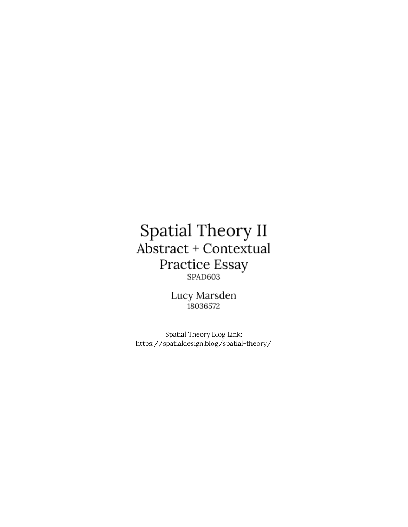## Spatial Theory II Abstract + Contextual  $\begin{matrix} \textbf{Practice } \textbf{Essay} \\ \textbf{SPAD603} \end{matrix}$

Lucy Marsden 18036572

Spatial Theory Blog Link: https://spatialdesign.blog/spatial-theory/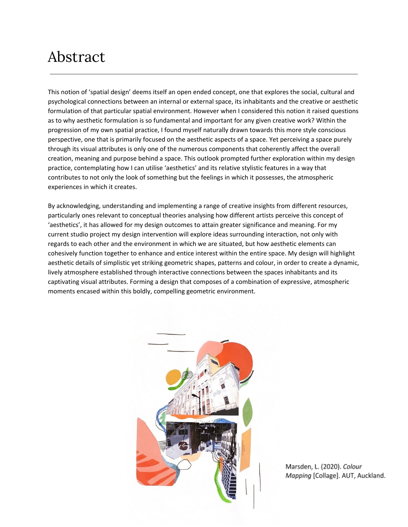## Abstract

This notion of 'spatial design' deems itself an open ended concept, one that explores the social, cultural and psychological connections between an internal or external space, its inhabitants and the creative or aesthetic formulation of that particular spatial environment. However when I considered this notion it raised questions as to why aesthetic formulation is so fundamental and important for any given creative work? Within the progression of my own spatial practice, I found myself naturally drawn towards this more style conscious perspective, one that is primarily focused on the aesthetic aspects of a space. Yet perceiving a space purely through its visual attributes is only one of the numerous components that coherently affect the overall creation, meaning and purpose behind a space. This outlook prompted further exploration within my design practice, contemplating how I can utilise 'aesthetics' and its relative stylistic features in a way that contributes to not only the look of something but the feelings in which it possesses, the atmospheric experiences in which it creates.

By acknowledging, understanding and implementing a range of creative insights from different resources, particularly ones relevant to conceptual theories analysing how different artists perceive this concept of 'aesthetics', it has allowed for my design outcomes to attain greater significance and meaning. For my current studio project my design intervention will explore ideas surrounding interaction, not only with regards to each other and the environment in which we are situated, but how aesthetic elements can cohesively function together to enhance and entice interest within the entire space. My design will highlight aesthetic details of simplistic yet striking geometric shapes, patterns and colour, in order to create a dynamic, lively atmosphere established through interactive connections between the spaces inhabitants and its captivating visual attributes. Forming a design that composes of a combination of expressive, atmospheric moments encased within this boldly, compelling geometric environment.



Marsden, L. (2020). Colour Mapping [Collage]. AUT, Auckland.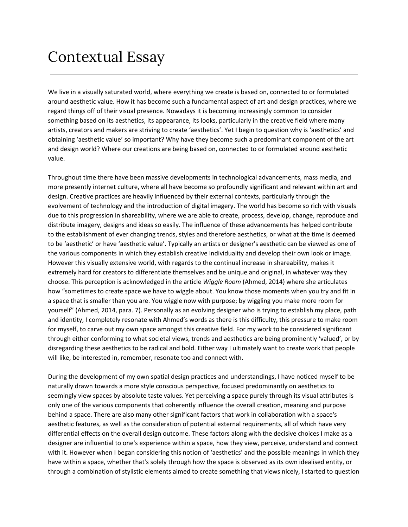## Contextual Essay

We live in a visually saturated world, where everything we create is based on, connected to or formulated around aesthetic value. How it has become such a fundamental aspect of art and design practices, where we regard things off of their visual presence. Nowadays it is becoming increasingly common to consider something based on its aesthetics, its appearance, its looks, particularly in the creative field where many artists, creators and makers are striving to create 'aesthetics'. Yet I begin to question why is 'aesthetics' and obtaining 'aesthetic value' so important? Why have they become such a predominant component of the art and design world? Where our creations are being based on, connected to or formulated around aesthetic value.

Throughout time there have been massive developments in technological advancements, mass media, and more presently internet culture, where all have become so profoundly significant and relevant within art and design. Creative practices are heavily influenced by their external contexts, particularly through the evolvement of technology and the introduction of digital imagery. The world has become so rich with visuals due to this progression in shareability, where we are able to create, process, develop, change, reproduce and distribute imagery, designs and ideas so easily. The influence of these advancements has helped contribute to the establishment of ever changing trends, styles and therefore aesthetics, or what at the time is deemed to be 'aesthetic' or have 'aesthetic value'. Typically an artists or designer's aesthetic can be viewed as one of the various components in which they establish creative individuality and develop their own look or image. However this visually extensive world, with regards to the continual increase in shareability, makes it extremely hard for creators to differentiate themselves and be unique and original, in whatever way they choose. This perception is acknowledged in the article *Wiggle Room* (Ahmed, 2014) where she articulates how "sometimes to create space we have to wiggle about. You know those moments when you try and fit in a space that is smaller than you are. You wiggle now with purpose; by wiggling you make more room for yourself" (Ahmed, 2014, para. 7). Personally as an evolving designer who is trying to establish my place, path and identity, I completely resonate with Ahmed's words as there is this difficulty, this pressure to make room for myself, to carve out my own space amongst this creative field. For my work to be considered significant through either conforming to what societal views, trends and aesthetics are being prominently 'valued', or by disregarding these aesthetics to be radical and bold. Either way I ultimately want to create work that people will like, be interested in, remember, resonate too and connect with.

During the development of my own spatial design practices and understandings, I have noticed myself to be naturally drawn towards a more style conscious perspective, focused predominantly on aesthetics to seemingly view spaces by absolute taste values. Yet perceiving a space purely through its visual attributes is only one of the various components that coherently influence the overall creation, meaning and purpose behind a space. There are also many other significant factors that work in collaboration with a space's aesthetic features, as well as the consideration of potential external requirements, all of which have very differential effects on the overall design outcome. These factors along with the decisive choices I make as a designer are influential to one's experience within a space, how they view, perceive, understand and connect with it. However when I began considering this notion of 'aesthetics' and the possible meanings in which they have within a space, whether that's solely through how the space is observed as its own idealised entity, or through a combination of stylistic elements aimed to create something that views nicely, I started to question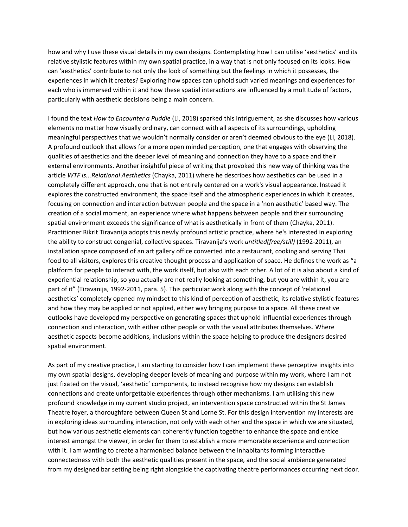how and why I use these visual details in my own designs. Contemplating how I can utilise 'aesthetics' and its relative stylistic features within my own spatial practice, in a way that is not only focused on its looks. How can 'aesthetics' contribute to not only the look of something but the feelings in which it possesses, the experiences in which it creates? Exploring how spaces can uphold such varied meanings and experiences for each who is immersed within it and how these spatial interactions are influenced by a multitude of factors, particularly with aesthetic decisions being a main concern.

I found the text *How to Encounter a Puddle* (Li, 2018) sparked this intriguement, as she discusses how various elements no matter how visually ordinary, can connect with all aspects of its surroundings, upholding meaningful perspectives that we wouldn't normally consider or aren't deemed obvious to the eye (Li, 2018). A profound outlook that allows for a more open minded perception, one that engages with observing the qualities of aesthetics and the deeper level of meaning and connection they have to a space and their external environments. Another insightful piece of writing that provoked this new way of thinking was the article *WTF is...Relational Aesthetics* (Chayka, 2011) where he describes how aesthetics can be used in a completely different approach, one that is not entirely centered on a work's visual appearance. Instead it explores the constructed environment, the space itself and the atmospheric experiences in which it creates, focusing on connection and interaction between people and the space in a 'non aesthetic' based way. The creation of a social moment, an experience where what happens between people and their surrounding spatial environment exceeds the significance of what is aesthetically in front of them (Chayka, 2011). Practitioner Rikrit Tiravanija adopts this newly profound artistic practice, where he's interested in exploring the ability to construct congenial, collective spaces. Tiravanija's work *untitled(free/still)* (1992-2011), an installation space composed of an art gallery office converted into a restaurant, cooking and serving Thai food to all visitors, explores this creative thought process and application of space. He defines the work as "a platform for people to interact with, the work itself, but also with each other. A lot of it is also about a kind of experiential relationship, so you actually are not really looking at something, but you are within it, you are part of it" (Tiravanija, 1992-2011, para. 5). This particular work along with the concept of 'relational aesthetics' completely opened my mindset to this kind of perception of aesthetic, its relative stylistic features and how they may be applied or not applied, either way bringing purpose to a space. All these creative outlooks have developed my perspective on generating spaces that uphold influential experiences through connection and interaction, with either other people or with the visual attributes themselves. Where aesthetic aspects become additions, inclusions within the space helping to produce the designers desired spatial environment.

As part of my creative practice, I am starting to consider how I can implement these perceptive insights into my own spatial designs, developing deeper levels of meaning and purpose within my work, where I am not just fixated on the visual, 'aesthetic' components, to instead recognise how my designs can establish connections and create unforgettable experiences through other mechanisms. I am utilising this new profound knowledge in my current studio project, an intervention space constructed within the St James Theatre foyer, a thoroughfare between Queen St and Lorne St. For this design intervention my interests are in exploring ideas surrounding interaction, not only with each other and the space in which we are situated, but how various aesthetic elements can coherently function together to enhance the space and entice interest amongst the viewer, in order for them to establish a more memorable experience and connection with it. I am wanting to create a harmonised balance between the inhabitants forming interactive connectedness with both the aesthetic qualities present in the space, and the social ambience generated from my designed bar setting being right alongside the captivating theatre performances occurring next door.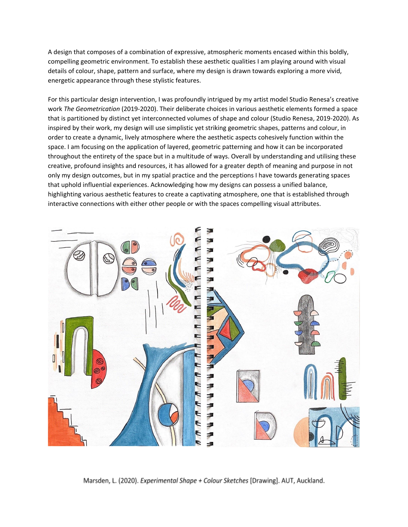A design that composes of a combination of expressive, atmospheric moments encased within this boldly, compelling geometric environment. To establish these aesthetic qualities I am playing around with visual details of colour, shape, pattern and surface, where my design is drawn towards exploring a more vivid, energetic appearance through these stylistic features.

For this particular design intervention, I was profoundly intrigued by my artist model Studio Renesa's creative work *The Geometrication* (2019-2020). Their deliberate choices in various aesthetic elements formed a space that is partitioned by distinct yet interconnected volumes of shape and colour (Studio Renesa, 2019-2020). As inspired by their work, my design will use simplistic yet striking geometric shapes, patterns and colour, in order to create a dynamic, lively atmosphere where the aesthetic aspects cohesively function within the space. I am focusing on the application of layered, geometric patterning and how it can be incorporated throughout the entirety of the space but in a multitude of ways. Overall by understanding and utilising these creative, profound insights and resources, it has allowed for a greater depth of meaning and purpose in not only my design outcomes, but in my spatial practice and the perceptions I have towards generating spaces that uphold influential experiences. Acknowledging how my designs can possess a unified balance, highlighting various aesthetic features to create a captivating atmosphere, one that is established through interactive connections with either other people or with the spaces compelling visual attributes.



Marsden, L. (2020). Experimental Shape + Colour Sketches [Drawing]. AUT, Auckland.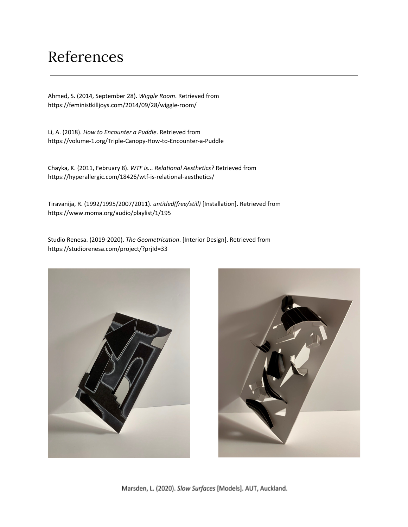## References

Ahmed, S. (2014, September 28). *Wiggle Room*. Retrieved from https://feministkilljoys.com/2014/09/28/wiggle-room/

Li, A. (2018). *How to Encounter a Puddle*. Retrieved from https://volume-1.org/Triple-Canopy-How-to-Encounter-a-Puddle

Chayka, K. (2011, February 8). *WTF is... Relational Aesthetics?* Retrieved from https://hyperallergic.com/18426/wtf-is-relational-aesthetics/

Tiravanija, R. (1992/1995/2007/2011). *untitled(free/still)* [Installation]. Retrieved from https://www.moma.org/audio/playlist/1/195

Studio Renesa. (2019-2020). *The Geometrication*. [Interior Design]. Retrieved from https://studiorenesa.com/project/?prjId=33





Marsden, L. (2020). Slow Surfaces [Models]. AUT, Auckland.